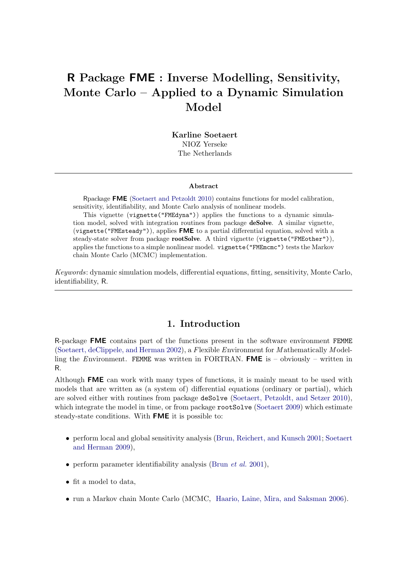# R Package FME : Inverse Modelling, Sensitivity, Monte Carlo – Applied to a Dynamic Simulation Model

Karline Soetaert NIOZ Yerseke The Netherlands

#### Abstract

Rpackage FME [\(Soetaert and Petzoldt](#page-25-0) [2010\)](#page-25-0) contains functions for model calibration, sensitivity, identifiability, and Monte Carlo analysis of nonlinear models.

This vignette (vignette("FMEdyna")) applies the functions to a dynamic simulation model, solved with integration routines from package deSolve. A similar vignette,  $(vignette("FMEsteady"))$ , applies FME to a partial differential equation, solved with a steady-state solver from package rootSolve. A third vignette (vignette("FMEother")), applies the functions to a simple nonlinear model. vignette("FMEmcmc") tests the Markov chain Monte Carlo (MCMC) implementation.

Keywords: dynamic simulation models, differential equations, fitting, sensitivity, Monte Carlo, identifiability, R.

# 1. Introduction

R-package FME contains part of the functions present in the software environment FEMME [\(Soetaert, deClippele, and Herman](#page-25-1) [2002\)](#page-25-1), a Flexible Environment for Mathematically Modelling the Environment. FEMME was written in FORTRAN. FME is  $-$  obviously  $-$  written in R.

Although **FME** can work with many types of functions, it is mainly meant to be used with models that are written as (a system of) differential equations (ordinary or partial), which are solved either with routines from package deSolve [\(Soetaert, Petzoldt, and Setzer](#page-25-2) [2010\)](#page-25-2), which integrate the model in time, or from package rootSolve [\(Soetaert](#page-25-3) [2009\)](#page-25-3) which estimate steady-state conditions. With FME it is possible to:

- perform local and global sensitivity analysis [\(Brun, Reichert, and Kunsch](#page-25-4) [2001;](#page-25-4) [Soetaert](#page-25-5) [and Herman](#page-25-5) [2009\)](#page-25-5),
- perform parameter identifiability analysis [\(Brun](#page-25-4) *et al.* [2001\)](#page-25-4),
- fit a model to data,
- run a Markov chain Monte Carlo (MCMC, [Haario, Laine, Mira, and Saksman](#page-25-6) [2006\)](#page-25-6).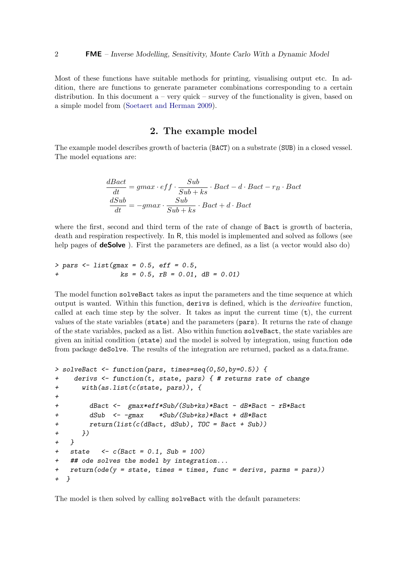Most of these functions have suitable methods for printing, visualising output etc. In addition, there are functions to generate parameter combinations corresponding to a certain distribution. In this document  $a - \text{very quick} - \text{survey of the functionality is given, based on}$ a simple model from [\(Soetaert and Herman](#page-25-5) [2009\)](#page-25-5).

### 2. The example model

The example model describes growth of bacteria (BACT) on a substrate (SUB) in a closed vessel. The model equations are:

$$
\frac{dBact}{dt} = gmax \cdot eff \cdot \frac{Sub}{Sub + ks} \cdot Bact - d \cdot Bact - r_B \cdot Bact
$$

$$
\frac{dSub}{dt} = -gmax \cdot \frac{Sub}{Sub + ks} \cdot Bact + d \cdot Bact
$$

where the first, second and third term of the rate of change of Bact is growth of bacteria, death and respiration respectively. In R, this model is implemented and solved as follows (see help pages of **deSolve**). First the parameters are defined, as a list (a vector would also do)

> pars <- list(gmax = 0.5, eff = 0.5, + ks = 0.5, rB = 0.01, dB = 0.01)

The model function solveBact takes as input the parameters and the time sequence at which output is wanted. Within this function, derivs is defined, which is the derivative function, called at each time step by the solver. It takes as input the current time  $(t)$ , the current values of the state variables (state) and the parameters (pars). It returns the rate of change of the state variables, packed as a list. Also within function solveBact, the state variables are given an initial condition (state) and the model is solved by integration, using function ode from package deSolve. The results of the integration are returned, packed as a data.frame.

```
> solveBact <- function(pars, times=seq(0,50,by=0.5)) {
+ derivs <- function(t, state, pars) { # returns rate of change
+ with(as.list(c(state, pars)), {
+
+ dBact <- gmax*eff*Sub/(Sub+ks)*Bact - dB*Bact - rB*Bact
+ dSub <- -gmax *Sub/(Sub+ks)*Bact + dB*Bact
+ return(list(c(dBact, dSub), TOC = Bact + Sub))
+ })
+ }
+ state \leq c(Bact = 0.1, Sub = 100)+ ## ode solves the model by integration...
+ return(ode(y = state, times = times, func = derivs, parms = pars))
+ }
```
The model is then solved by calling solveBact with the default parameters: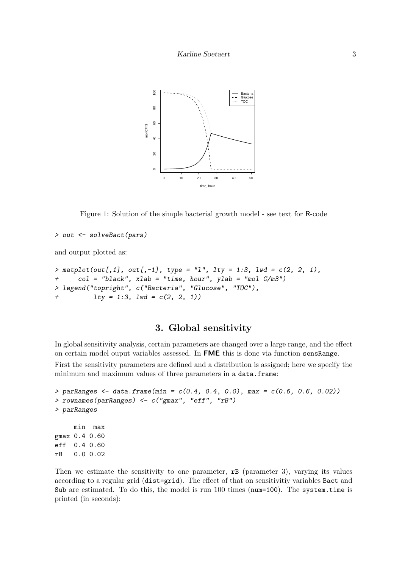

Figure 1: Solution of the simple bacterial growth model - see text for R-code

```
> out <- solveBact(pars)
```
and output plotted as:

```
> matplot(out[,1], out[,-1], type = "1", lty = 1:3, lwd = c(2, 2, 1),
+ col = "black", xlab = "time, hour", ylab = "mol C/m3")
> legend("topright", c("Bacteria", "Glucose", "TOC"),
+ lty = 1:3, lwd = c(2, 2, 1)
```
### 3. Global sensitivity

In global sensitivity analysis, certain parameters are changed over a large range, and the effect on certain model ouput variables assessed. In FME this is done via function sensRange. First the sensitivity parameters are defined and a distribution is assigned; here we specify the minimum and maximum values of three parameters in a data.frame:

```
> parRanges <- data.frame(min = c(0.4, 0.4, 0.0), max = c(0.6, 0.6, 0.02))
> rownames(parRanges) <- c("gmax", "eff", "rB")
> parRanges
     min max
gmax 0.4 0.60
eff 0.4 0.60
rB 0.0 0.02
```
Then we estimate the sensitivity to one parameter, rB (parameter 3), varying its values according to a regular grid (dist=grid). The effect of that on sensitivitiy variables Bact and Sub are estimated. To do this, the model is run 100 times (num=100). The system.time is printed (in seconds):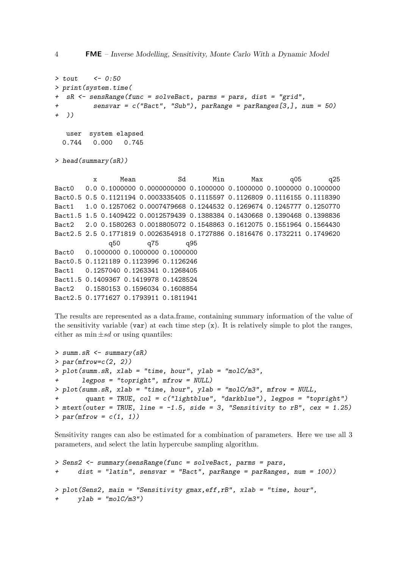4 FME – Inverse Modelling, Sensitivity, Monte Carlo With a Dynamic Model

```
> \text{tout} <- 0:50
> print(system.time(
  sR <- sensRange(func = solveBact, parms = pars, dist = "grid",
          sensvar = c("Bact", "Sub"), parRange = parRanges[3,], num = 50)+ ))
  user system elapsed
 0.744 0.000 0.745
```
> head(summary(sR))

x Mean Sd Min Max q05 q25 Bact0 0.0 0.1000000 0.0000000000 0.1000000 0.1000000 0.1000000 0.1000000 Bact0.5 0.5 0.1121194 0.0003335405 0.1115597 0.1126809 0.1116155 0.1118390 Bact1 1.0 0.1257062 0.0007479668 0.1244532 0.1269674 0.1245777 0.1250770 Bact1.5 1.5 0.1409422 0.0012579439 0.1388384 0.1430668 0.1390468 0.1398836 Bact2 2.0 0.1580263 0.0018805072 0.1548863 0.1612075 0.1551964 0.1564430 Bact2.5 2.5 0.1771819 0.0026354918 0.1727886 0.1816476 0.1732211 0.1749620 q50 q75 q95 Bact0 0.1000000 0.1000000 0.1000000 Bact0.5 0.1121189 0.1123996 0.1126246 Bact1 0.1257040 0.1263341 0.1268405 Bact1.5 0.1409367 0.1419978 0.1428524 Bact2 0.1580153 0.1596034 0.1608854 Bact2.5 0.1771627 0.1793911 0.1811941

The results are represented as a data.frame, containing summary information of the value of the sensitivity variable (var) at each time step  $(x)$ . It is relatively simple to plot the ranges, either as  $\min \pm sd$  or using quantiles:

```
> summ.sR <- summary(sR)
> par(mfrow=c(2, 2))> plot(summ.sR, xlab = "time, hour", ylab = "molC/m3",
      legpos = "topright", mfrom = NULL)> plot(summ.sR, xlab = "time, hour", ylab = "molC/m3", mfrom = NULL,quant = TRUE, col = c("lightblue", "darkblue"), legpos = "topright")> mtext(outer = TRUE, line = -1.5, side = 3, "Sensitivity to rB", cex = 1.25)
> par(mfrow = c(1, 1))
```
Sensitivity ranges can also be estimated for a combination of parameters. Here we use all 3 parameters, and select the latin hypercube sampling algorithm.

```
> Sens2 <- summary(sensRange(func = solveBact, parms = pars,
+ dist = "latin", sensvar = "Bact", parRange = parRanges, num = 100))
> plot(Sens2, main = "Sensitivity gmax,eff,rB", xlab = "time, hour",
     ylab = "molC/m3")
```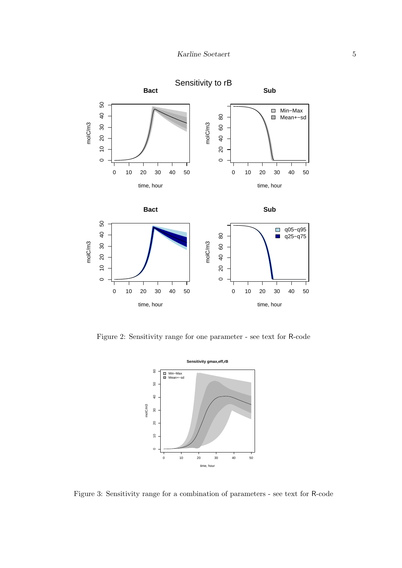

Figure 2: Sensitivity range for one parameter - see text for R-code



<span id="page-4-0"></span>Figure 3: Sensitivity range for a combination of parameters - see text for R-code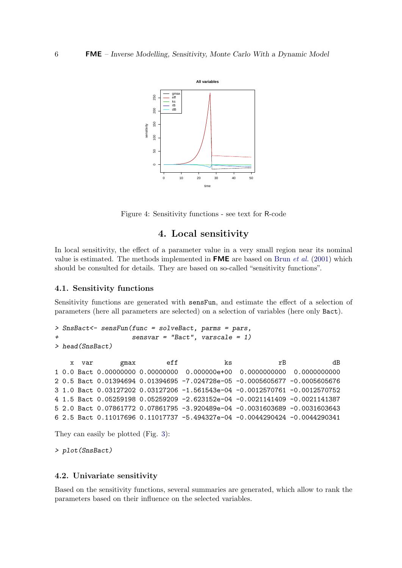

Figure 4: Sensitivity functions - see text for R-code

### 4. Local sensitivity

In local sensitivity, the effect of a parameter value in a very small region near its nominal value is estimated. The methods implemented in **FME** are based on [Brun](#page-25-4) *et al.* [\(2001\)](#page-25-4) which should be consulted for details. They are based on so-called "sensitivity functions".

#### 4.1. Sensitivity functions

Sensitivity functions are generated with sensFun, and estimate the effect of a selection of parameters (here all parameters are selected) on a selection of variables (here only Bact).

```
> SnsBact<- sensFun(func = solveBact, parms = pars,
                    sensvar = "Bact", \nvarscale = 1)> head(SnsBact)
```

```
x var gmax eff ks rB dB
1 0.0 Bact 0.00000000 0.00000000 0.000000e+00 0.0000000000 0.0000000000
2 0.5 Bact 0.01394694 0.01394695 -7.024728e-05 -0.0005605677 -0.0005605676
3 1.0 Bact 0.03127202 0.03127206 -1.561543e-04 -0.0012570761 -0.0012570752
4 1.5 Bact 0.05259198 0.05259209 -2.623152e-04 -0.0021141409 -0.0021141387
5 2.0 Bact 0.07861772 0.07861795 -3.920489e-04 -0.0031603689 -0.0031603643
6 2.5 Bact 0.11017696 0.11017737 -5.494327e-04 -0.0044290424 -0.0044290341
```
They can easily be plotted (Fig. [3\)](#page-4-0):

> plot(SnsBact)

#### 4.2. Univariate sensitivity

Based on the sensitivity functions, several summaries are generated, which allow to rank the parameters based on their influence on the selected variables.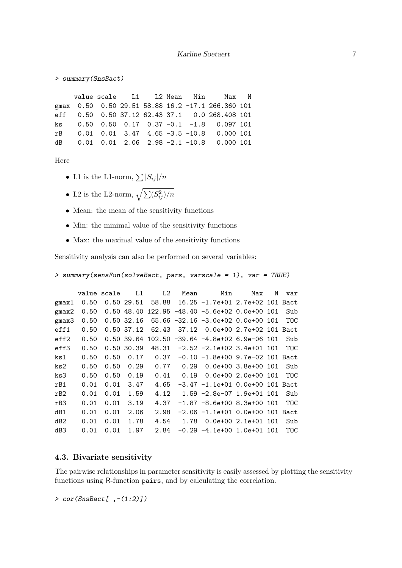```
> summary(SnsBact)
```
value scale L1 L2 Mean Min Max N gmax 0.50 0.50 29.51 58.88 16.2 -17.1 266.360 101 eff 0.50 0.50 37.12 62.43 37.1 0.0 268.408 101 ks 0.50 0.50 0.17 0.37 -0.1 -1.8 0.097 101 rB 0.01 0.01 3.47 4.65 -3.5 -10.8 0.000 101 dB 0.01 0.01 2.06 2.98 -2.1 -10.8 0.000 101

Here

- L1 is the L1-norm,  $\sum |S_{ij}|/n$
- L2 is the L2-norm,  $\sqrt{\sum (S_{ij}^2)/n}$
- Mean: the mean of the sensitivity functions
- Min: the minimal value of the sensitivity functions
- Max: the maximal value of the sensitivity functions

Sensitivity analysis can also be performed on several variables:

```
> summary(sensFun(solveBact, pars, varscale = 1), var = TRUE)
```

|                 |      | value scale | L1         | L2    | Mean  | Min                                             | Max                      | N | var        |
|-----------------|------|-------------|------------|-------|-------|-------------------------------------------------|--------------------------|---|------------|
| gmax1           | 0.50 |             | 0.50 29.51 | 58.88 |       | 16.25 -1.7e+01 2.7e+02 101 Bact                 |                          |   |            |
| $g$ max $2$     | 0.50 |             |            |       |       | $0.50$ 48.40 122.95 -48.40 -5.6e+02 0.0e+00 101 |                          |   | Sub        |
| gmax3           | 0.50 |             | 0.50 32.16 |       |       | $65.66 - 32.16 - 3.0e + 02 0.0e + 00 101$       |                          |   | <b>TOC</b> |
| eff1            | 0.50 |             | 0.50 37.12 | 62.43 | 37.12 |                                                 | 0.0e+00 2.7e+02 101 Bact |   |            |
| eff2            | 0.50 |             | 0.50 39.64 |       |       | $102.50 - 39.64 - 4.8e + 02 6.9e - 06 101$      |                          |   | Sub        |
| eff3            | 0.50 |             | 0.50 30.39 | 48.31 |       | $-2.52 -2.1e+02$ 3.4e+01 101                    |                          |   | <b>TOC</b> |
| $\rm ks1$       | 0.50 | 0.50        | 0.17       | 0.37  |       | $-0.10 -1.8e + 00$ 9.7e-02 101 Bact             |                          |   |            |
| ks2             | 0.50 | 0.50        | 0.29       | 0.77  | 0.29  |                                                 | $0.0e+003.8e+001$        |   | Sub        |
| ks3             | 0.50 | 0.50        | 0.19       | 0.41  | 0.19  |                                                 | $0.0e+00$ 2.0e+00 101    |   | <b>TOC</b> |
| rB1             | 0.01 | 0.01        | 3.47       | 4.65  |       | $-3.47$ $-1.1e+01$ 0.0e+00 101 Bact             |                          |   |            |
| rB2             | 0.01 | 0.01        | 1.59       | 4.12  |       | $1.59 - 2.8e-07$ 1.9e+01 101                    |                          |   | Sub        |
| rB3             | 0.01 | 0.01        | 3.19       | 4.37  |       | $-1.87$ $-8.6$ e+00 8.3e+00 101                 |                          |   | <b>TOC</b> |
| dB1             | 0.01 | 0.01        | 2.06       | 2.98  |       | $-2.06$ $-1.1e+01$ 0.0e+00 101 Bact             |                          |   |            |
| dB <sub>2</sub> | 0.01 | 0.01        | 1.78       | 4.54  | 1.78  |                                                 | $0.0e+00$ 2.1e+01 101    |   | Sub        |
| dB3             | 0.01 | 0.01        | 1.97       | 2.84  |       | $-0.29 -4.1e+00 1.0e+01 101$                    |                          |   | TOC        |

#### 4.3. Bivariate sensitivity

The pairwise relationships in parameter sensitivity is easily assessed by plotting the sensitivity functions using R-function pairs, and by calculating the correlation.

 $> cor(SnsBact[$ ,  $-(1:2)]$ )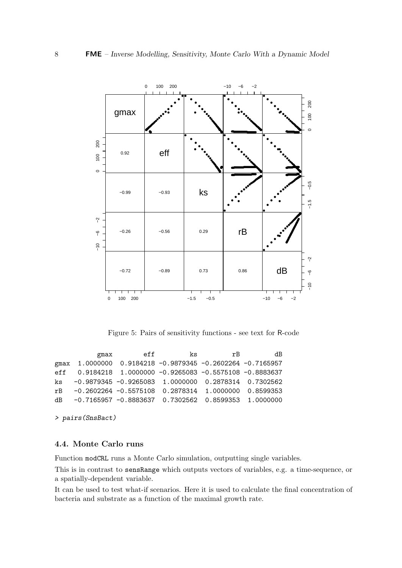

Figure 5: Pairs of sensitivity functions - see text for R-code

| gmax | eff | ks                                                        | rB. | dВ |
|------|-----|-----------------------------------------------------------|-----|----|
|      |     | gmax 1.0000000 0.9184218 -0.9879345 -0.2602264 -0.7165957 |     |    |
|      |     | eff 0.9184218 1.0000000 -0.9265083 -0.5575108 -0.8883637  |     |    |
|      |     | ks -0.9879345 -0.9265083 1.0000000 0.2878314 0.7302562    |     |    |
|      |     | rB -0.2602264 -0.5575108 0.2878314 1.0000000 0.8599353    |     |    |
|      |     | dB -0.7165957 -0.8883637 0.7302562 0.8599353 1.0000000    |     |    |

> pairs(SnsBact)

#### 4.4. Monte Carlo runs

Function modCRL runs a Monte Carlo simulation, outputting single variables.

This is in contrast to sensRange which outputs vectors of variables, e.g. a time-sequence, or a spatially-dependent variable.

It can be used to test what-if scenarios. Here it is used to calculate the final concentration of bacteria and substrate as a function of the maximal growth rate.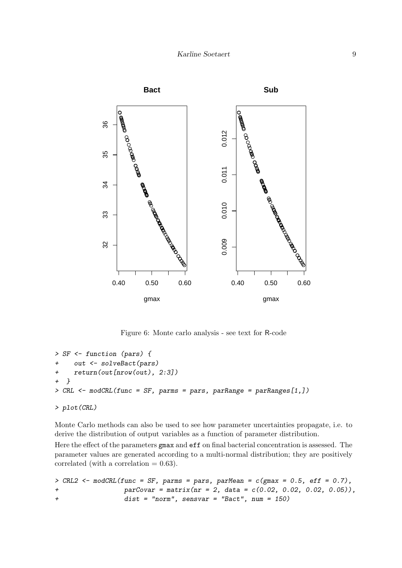

Figure 6: Monte carlo analysis - see text for R-code

```
> SF <- function (pars) {
    out <- solveBact(pars)
+ return(out[nrow(out), 2:3])
+ }
> CRL <- modCRL(func = SF, parms = pars, parRange = parRanges[1,])
> plot(CRL)
```
Monte Carlo methods can also be used to see how parameter uncertainties propagate, i.e. to derive the distribution of output variables as a function of parameter distribution.

Here the effect of the parameters gmax and eff on final bacterial concentration is assessed. The parameter values are generated according to a multi-normal distribution; they are positively correlated (with a correlation  $= 0.63$ ).

```
> CRL2 \leq modelCRL(func = SF, parms = pars, parMean = c(gmax = 0.5, eff = 0.7),+ parCovar = matrix(nr = 2, data = c(0.02, 0.02, 0.02, 0.05)),
+ dist = "norm", sensvar = "Bact", num = 150)
```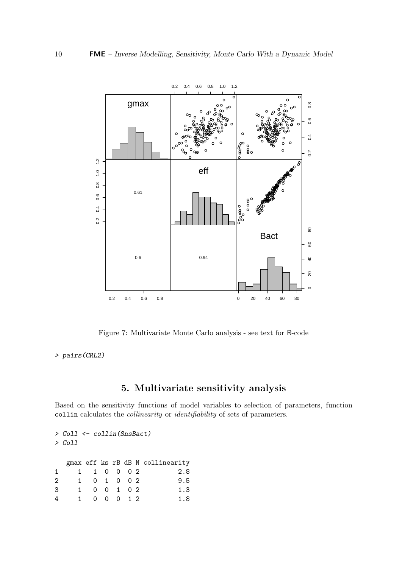

Figure 7: Multivariate Monte Carlo analysis - see text for R-code

> pairs(CRL2)

# 5. Multivariate sensitivity analysis

Based on the sensitivity functions of model variables to selection of parameters, function collin calculates the collinearity or identifiability of sets of parameters.

> Coll <- collin(SnsBact) > Coll gmax eff ks rB dB N collinearity 1 1 1 0 0 0 2 2.8 2 1 0 1 0 0 2 9.5 3 1 0 0 1 0 2 1.3 4 1 0 0 0 1 2 1.8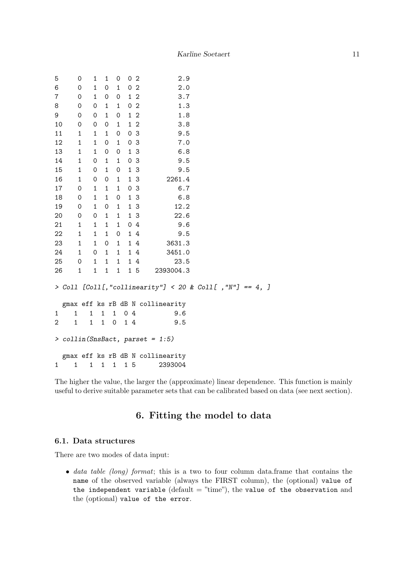| 5  |              | 0            | 1                            | $\mathbf{1}$        | 0                   |                   | 0 <sub>2</sub> | 2.9                                                     |
|----|--------------|--------------|------------------------------|---------------------|---------------------|-------------------|----------------|---------------------------------------------------------|
| 6  |              | 0            | $\mathbf 1$                  | $\mathsf{O}\xspace$ | $\mathbf 1$         | 0                 | $\overline{2}$ | 2.0                                                     |
| 7  |              | 0            | 1                            | 0                   | 0                   |                   | $1\quad2$      | 3.7                                                     |
| 8  |              | 0            | 0                            | $\mathbf{1}$        | $\mathbf{1}$        |                   | 0 <sub>2</sub> | 1.3                                                     |
| 9  |              | 0            | 0                            | 1                   | $\mathsf{O}\xspace$ | $\mathbf{1}$      | $\overline{2}$ | 1.8                                                     |
| 10 |              | 0            | 0                            | $\mathsf{O}\xspace$ | $\mathbf{1}$        |                   | $1\,2$         | 3.8                                                     |
| 11 |              | $\mathbf 1$  | $\mathbf{1}$                 | $\mathbf{1}$        | $\mathsf{O}\xspace$ |                   | 0 <sup>3</sup> | 9.5                                                     |
| 12 |              | 1            | 1                            | $\mathsf{O}\xspace$ | $\mathbf{1}$        |                   | 0 <sup>3</sup> | 7.0                                                     |
| 13 |              | 1            | 1                            | 0                   | 0                   |                   | 13             | 6.8                                                     |
| 14 |              | $\mathbf{1}$ | 0                            | 1                   | $\mathbf{1}$        |                   | 0 <sup>3</sup> | 9.5                                                     |
| 15 |              | $\mathbf{1}$ | 0                            | $\mathbf{1}$        | $\mathsf{O}\xspace$ |                   | 13             | 9.5                                                     |
| 16 |              | 1            | 0                            | $\mathbf 0$         | $\mathbf{1}$        |                   | 1 <sup>3</sup> | 2261.4                                                  |
| 17 |              | 0            | $\mathbf 1$                  | $\mathbf{1}$        | $\mathbf{1}$        |                   | 0 <sup>3</sup> | 6.7                                                     |
| 18 |              | 0            | 1                            | 1                   | 0                   |                   | 1 <sub>3</sub> | 6.8                                                     |
| 19 |              | 0            | $\mathbf 1$                  | $\mathsf{O}\xspace$ | $\mathbf 1$         |                   | 13             | 12.2                                                    |
| 20 |              | $\mbox{O}$   | $\mathsf{O}\xspace$          | $\mathbf{1}$        | $\mathbf 1$         |                   | 13             | 22.6                                                    |
| 21 |              | $\mathbf{1}$ | 1                            | $\mathbf{1}$        | $\mathbf{1}$        |                   | 04             | 9.6                                                     |
| 22 |              | $\mathbf{1}$ | 1                            | $\mathbf{1}$        | $\mathsf{O}\xspace$ |                   | 14             | 9.5                                                     |
| 23 |              | $\mathbf{1}$ | 1                            | $\mathsf{O}\xspace$ | $\mathbf{1}$        |                   | 14             | 3631.3                                                  |
| 24 |              | $\mathbf{1}$ | 0                            | $\mathbf 1$         | $\mathbf{1}$        |                   | 14             | 3451.0                                                  |
| 25 |              | 0            | 1                            | 1                   | 1                   |                   | 14             | 23.5                                                    |
| 26 |              | $\mathbf{1}$ | $\mathbf 1$                  | $\mathbf{1}$        | $\mathbf 1$         |                   | 15             | 2393004.3                                               |
|    |              |              |                              |                     |                     |                   |                | > Coll [Coll[,"collinearity"] < 20 & Coll[,"N"] == 4, ] |
|    |              |              |                              |                     |                     |                   |                | gmax eff ks rB dB N collinearity                        |
| 1  | 1            | 1            | 1                            |                     | $\mathbf{1}$        | 0                 | $\,4\,$        | 9.6                                                     |
| 2  | 1            |              | $\mathbf{1}$<br>$\mathbf{1}$ |                     | $\mathsf{O}\xspace$ | 14                |                | 9.5                                                     |
|    |              |              |                              |                     |                     |                   |                | $>$ collin(SnsBact, parset = 1:5)                       |
|    |              |              |                              |                     |                     |                   |                | gmax eff ks rB dB N collinearity                        |
| 1  | $\mathbf{1}$ | $\mathbf{1}$ | $\mathbf{1}$                 |                     | $\mathbf 1$         | $\mathbf{1}$<br>5 |                | 2393004                                                 |

The higher the value, the larger the (approximate) linear dependence. This function is mainly useful to derive suitable parameter sets that can be calibrated based on data (see next section).

# 6. Fitting the model to data

#### 6.1. Data structures

There are two modes of data input:

• data table (long) format; this is a two to four column data.frame that contains the name of the observed variable (always the FIRST column), the (optional) value of the independent variable  $(detault = "time"),$  the value of the observation and the (optional) value of the error.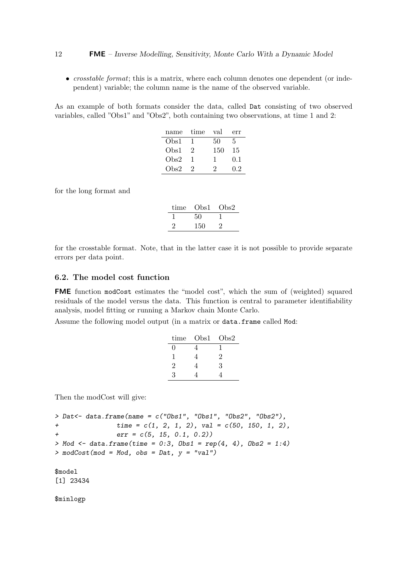• *crosstable format*; this is a matrix, where each column denotes one dependent (or independent) variable; the column name is the name of the observed variable.

As an example of both formats consider the data, called Dat consisting of two observed variables, called "Obs1" and "Obs2", both containing two observations, at time 1 and 2:

| name | time          | val | err |
|------|---------------|-----|-----|
| Obs1 |               | 50  | 5   |
| Obs1 | $\mathcal{L}$ | 150 | 15  |
| Obs2 |               | л.  | 0.1 |
| Obs2 | ٠,            | ')  | 0.2 |

for the long format and

| time | Obs1. | Obs2 |
|------|-------|------|
|      | 50    |      |
|      | 150   |      |

for the crosstable format. Note, that in the latter case it is not possible to provide separate errors per data point.

#### 6.2. The model cost function

FME function modCost estimates the "model cost", which the sum of (weighted) squared residuals of the model versus the data. This function is central to parameter identifiability analysis, model fitting or running a Markov chain Monte Carlo.

Assume the following model output (in a matrix or data.frame called Mod:

| time | Obs1 | Obs2 |
|------|------|------|
| 0    |      |      |
|      |      | 2    |
| 2    |      | 3    |
| 3    |      |      |

Then the modCost will give:

 $>$  Dat <- data.frame(name = c("Obs1", "Obs1", "Obs2", "Obs2"), +  $time = c(1, 2, 1, 2), val = c(50, 150, 1, 2),$ + err = c(5, 15, 0.1, 0.2)) > Mod <- data.frame(time =  $0:3$ , Obs1 =  $rep(4, 4)$ , Obs2 =  $1:4$ )  $>$  modCost(mod = Mod, obs = Dat,  $y = "val")$ 

\$model [1] 23434

\$minlogp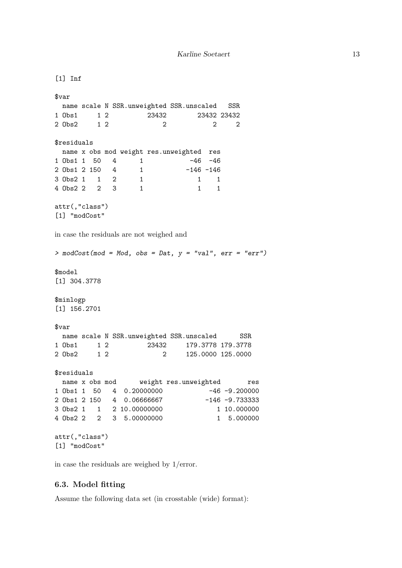```
[1] Inf
$var
 name scale N SSR.unweighted SSR.unscaled SSR
1 Obs1 1 2 23432 23432 23432
2 Obs2 1 2 2 2 2
$residuals
 name x obs mod weight res.unweighted res
1 Obs1 1 50 4 1 -46 -46
2 Obs1 2 150 4 1 -146 -146
3 Obs2 1 1 2 1 1 1 1
4 Obs2 2 2 3 1 1 1
attr(,"class")
[1] "modCost"
in case the residuals are not weighed and
> modCost(mod = Mod, obs = Dat, y = "val", err = "err")$model
[1] 304.3778
$minlogp
[1] 156.2701
$var
 name scale N SSR.unweighted SSR.unscaled SSR
1 Obs1 1 2 23432 179.3778 179.3778
2 Obs2 1 2 2 125.0000 125.0000
$residuals
 name x obs mod weight res.unweighted res
1 Obs1 1 50 4 0.20000000 -46 -9.200000
2 Obs1 2 150 4 0.06666667 -146 -9.733333
3 Obs2 1 1 2 10.00000000 1 10.000000
4 Obs2 2 2 3 5.00000000 1 5.000000
attr(,"class")
[1] "modCost"
```
in case the residuals are weighed by 1/error.

#### 6.3. Model fitting

Assume the following data set (in crosstable (wide) format):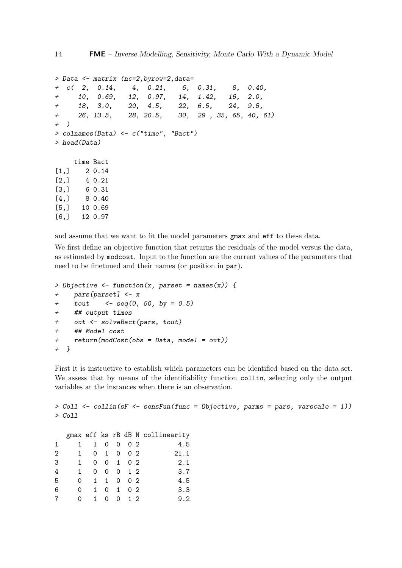```
> Data <- matrix (nc=2,byrow=2,data=
+ c( 2, 0.14, 4, 0.21, 6, 0.31, 8, 0.40,
+ 10, 0.69, 12, 0.97, 14, 1.42, 16, 2.0,
+ 18, 3.0, 20, 4.5, 22, 6.5, 24, 9.5,
+ 26, 13.5, 28, 20.5, 30, 29 , 35, 65, 40, 61)
+ )
> colnames(Data) <- c("time", "Bact")
> head(Data)
    time Bact
[1,] 2 0.14
[2,] 4 0.21
[3,] 6 0.31
[4,] 8 0.40
```

```
[5,] 10 0.69
[6,] 12 0.97
```
and assume that we want to fit the model parameters gmax and eff to these data.

We first define an objective function that returns the residuals of the model versus the data, as estimated by modcost. Input to the function are the current values of the parameters that need to be finetuned and their names (or position in par).

```
> Objective \le function(x, parset = names(x)) {
+ pars[parset] <- x
+ tout \leq seq(0, 50, by = 0.5)
+ ## output times
    out <- solveBact(pars, tout)
+ ## Model cost
    return(modCost(obs = Data, model = out))+ }
```
First it is instructive to establish which parameters can be identified based on the data set. We assess that by means of the identifiability function collin, selecting only the output variables at the instances when there is an observation.

```
> Coll <- collin(sF <- sensFun(func = Objective, parms = pars, varscale = 1))
> Coll
  gmax eff ks rB dB N collinearity
1 1 1 0 0 0 2 4.5
2 1 0 1 0 0 2 21.1
3 1 0 0 1 0 2 2.1
4 1 0 0 0 1 2 3.7
5 0 1 1 0 0 2 4.5
6 0 1 0 1 0 2 3.3
7 0 1 0 0 1 2 9.2
```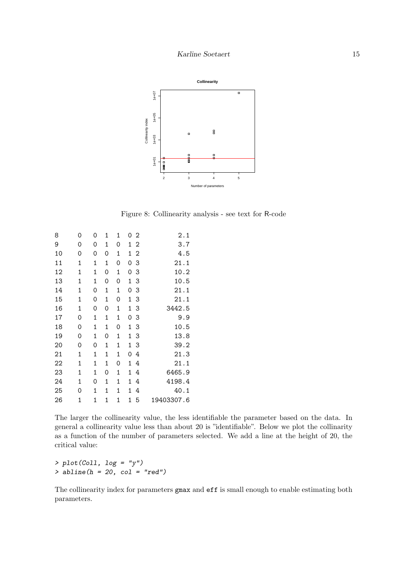

Figure 8: Collinearity analysis - see text for R-code

| 8  | 0           | 0           | 1           | 1           | 0<br>$\overline{2}$ | 2.1        |
|----|-------------|-------------|-------------|-------------|---------------------|------------|
| 9  | 0           | 0           | 1           | 0           | $1\,2$              | 3.7        |
| 10 | 0           | 0           | 0           | 1           | $\overline{2}$<br>1 | 4.5        |
| 11 | 1           | $\mathbf 1$ | $\mathbf 1$ | 0           | 3<br>0              | 21.1       |
| 12 | 1           | 1           | 0           | 1           | 3<br>0              | 10.2       |
| 13 | 1           | 1           | 0           | 0           | 3<br>1              | 10.5       |
| 14 | 1           | 0           | $\mathbf 1$ | 1           | 3<br>0              | 21.1       |
| 15 | 1           | 0           | $\mathbf 1$ | 0           | 1<br>3              | 21.1       |
| 16 | 1           | 0           | 0           | $\mathbf 1$ | 3<br>1              | 3442.5     |
| 17 | 0           | $\mathbf 1$ | 1           | 1           | 0<br>3              | 9.9        |
| 18 | 0           | 1           | 1           | 0           | 1<br>3              | 10.5       |
| 19 | 0           | 1           | 0           | 1           | 3<br>1              | 13.8       |
| 20 | 0           | 0           | 1           | 1           | 3<br>1              | 39.2       |
| 21 | $\mathbf 1$ | 1           | 1           | 1           | 0<br>4              | 21.3       |
| 22 | $\mathbf 1$ | 1           | 1           | 0           | 1<br>4              | 21.1       |
| 23 | 1           | 1           | 0           | 1           | 1<br>4              | 6465.9     |
| 24 | $\mathbf 1$ | 0           | 1           | 1           | 4<br>1              | 4198.4     |
| 25 | 0           | 1           | 1           | 1           | 1<br>4              | 40.1       |
| 26 | $\mathbf 1$ | 1           | 1           | 1           | 1<br>5              | 19403307.6 |

The larger the collinearity value, the less identifiable the parameter based on the data. In general a collinearity value less than about 20 is "identifiable". Below we plot the collinarity as a function of the number of parameters selected. We add a line at the height of 20, the critical value:

```
> plot(Col1, log = "y")> abline(h = 20, col = "red")
```
The collinearity index for parameters gmax and eff is small enough to enable estimating both parameters.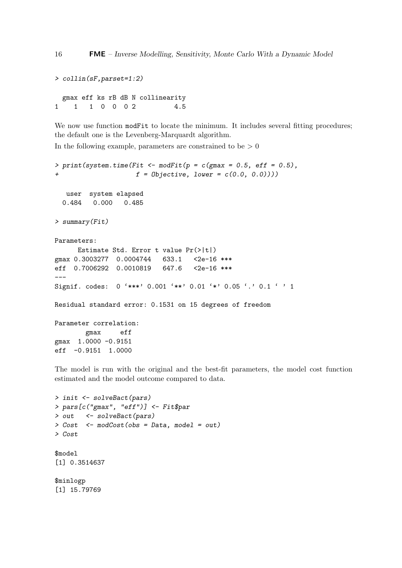```
> collin(sF,parset=1:2)
 gmax eff ks rB dB N collinearity
1 1 1 0 0 0 2 4.5
```
We now use function modFit to locate the minimum. It includes several fitting procedures; the default one is the Levenberg-Marquardt algorithm.

In the following example, parameters are constrained to be  $> 0$ 

```
> print(system.time(Fit <- modFit(p = c(gmax = 0.5, eff = 0.5),
                    f = 0bjective, lower = c(0.0, 0.0)))
  user system elapsed
  0.484 0.000 0.485
> summary(Fit)
Parameters:
     Estimate Std. Error t value Pr(>|t|)
gmax 0.3003277 0.0004744 633.1 <2e-16 ***
eff 0.7006292 0.0010819 647.6 <2e-16 ***
---
Signif. codes: 0 '***' 0.001 '**' 0.01 '*' 0.05 '.' 0.1 ' ' 1
Residual standard error: 0.1531 on 15 degrees of freedom
Parameter correlation:
       gmax eff
gmax 1.0000 -0.9151
eff -0.9151 1.0000
```
The model is run with the original and the best-fit parameters, the model cost function estimated and the model outcome compared to data.

```
> init <- solveBact(pars)
> pars[c("gmax", "eff")] <- Fit$par
> out <- solveBact(pars)
> Cost <- modCost(obs = Data, model = out)
> Cost
$model
[1] 0.3514637
$minlogp
[1] 15.79769
```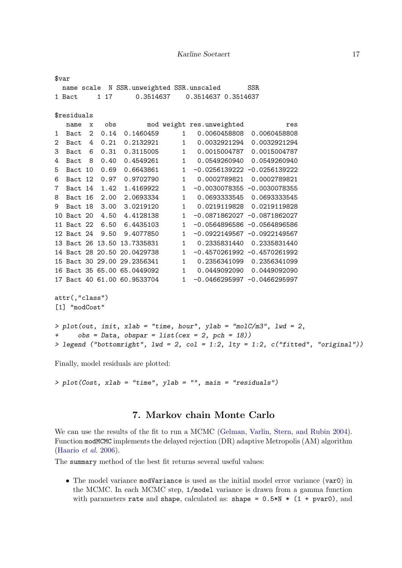|     | $\frac{1}{2}$ var                                                                |  |  |                             |  |                                                   |  |                                                                   |  |
|-----|----------------------------------------------------------------------------------|--|--|-----------------------------|--|---------------------------------------------------|--|-------------------------------------------------------------------|--|
|     |                                                                                  |  |  |                             |  | name scale N SSR.unweighted SSR.unscaled SSR      |  |                                                                   |  |
|     |                                                                                  |  |  |                             |  | 1 Bact 1 17 0.3514637 0.3514637 0.3514637         |  |                                                                   |  |
|     |                                                                                  |  |  |                             |  |                                                   |  |                                                                   |  |
|     | \$residuals                                                                      |  |  |                             |  |                                                   |  |                                                                   |  |
|     |                                                                                  |  |  |                             |  |                                                   |  | name x obs mod weight res.unweighted<br>res                       |  |
|     |                                                                                  |  |  |                             |  |                                                   |  | 1 Bact 2 0.14 0.1460459 1 0.0060458808 0.0060458808               |  |
|     |                                                                                  |  |  |                             |  |                                                   |  | 2 Bact 4 0.21 0.2132921 1 0.0032921294 0.0032921294               |  |
|     |                                                                                  |  |  |                             |  |                                                   |  | 3 Bact 6 0.31 0.3115005 1 0.0015004787 0.0015004787               |  |
|     |                                                                                  |  |  |                             |  |                                                   |  | 4 Bact 8 0.40 0.4549261 1 0.0549260940 0.0549260940               |  |
|     |                                                                                  |  |  |                             |  |                                                   |  | 5 Bact 10 0.69 0.6643861 1 -0.0256139222 -0.0256139222            |  |
|     |                                                                                  |  |  |                             |  |                                                   |  | 6 Bact 12 0.97 0.9702790 1 0.0002789821 0.0002789821              |  |
|     |                                                                                  |  |  |                             |  |                                                   |  | 7 Bact 14 1.42 1.4169922 1 -0.0030078355 -0.0030078355            |  |
|     |                                                                                  |  |  |                             |  |                                                   |  | 8 Bact 16 2.00 2.0693334 1 0.0693333545 0.0693333545              |  |
|     |                                                                                  |  |  |                             |  |                                                   |  | 9 Bact 18 3.00 3.0219120 1 0.0219119828 0.0219119828              |  |
|     |                                                                                  |  |  | 10 Bact 20 4.50 4.4128138   |  |                                                   |  | 1 -0.0871862027 -0.0871862027                                     |  |
|     |                                                                                  |  |  | 11 Bact 22 6.50 6.4435103   |  |                                                   |  | 1 -0.0564896586 -0.0564896586                                     |  |
|     |                                                                                  |  |  | 12 Bact 24 9.50 9.4077850   |  |                                                   |  | 1 -0.0922149567 -0.0922149567                                     |  |
|     |                                                                                  |  |  | 13 Bact 26 13.50 13.7335831 |  |                                                   |  | 1 0.2335831440 0.2335831440                                       |  |
|     |                                                                                  |  |  |                             |  |                                                   |  | 14 Bact 28 20.50 20.0429738 1 -0.4570261992 -0.4570261992         |  |
|     |                                                                                  |  |  |                             |  |                                                   |  | 15 Bact 30 29.00 29.2356341 1 0.2356341099 0.2356341099           |  |
|     |                                                                                  |  |  |                             |  |                                                   |  | 16 Bact 35 65.00 65.0449092 1 0.0449092090 0.0449092090           |  |
|     |                                                                                  |  |  |                             |  |                                                   |  | 17 Bact 40 61.00 60.9533704 1 -0.0466295997 -0.0466295997         |  |
|     |                                                                                  |  |  |                             |  |                                                   |  |                                                                   |  |
|     | attr(,"class")                                                                   |  |  |                             |  |                                                   |  |                                                                   |  |
|     | [1] "modCost"                                                                    |  |  |                             |  |                                                   |  |                                                                   |  |
|     |                                                                                  |  |  |                             |  |                                                   |  |                                                                   |  |
|     |                                                                                  |  |  |                             |  |                                                   |  | > plot(out, init, xlab = "time, hour", ylab = "molC/m3", lwd = 2, |  |
| $+$ |                                                                                  |  |  |                             |  | $obs = Data$ , $obspar = list(cex = 2, pch = 18)$ |  |                                                                   |  |
|     | > legend ("bottomright", lwd = 2, col = 1:2, lty = 1:2, c("fitted", "original")) |  |  |                             |  |                                                   |  |                                                                   |  |

Finally, model residuals are plotted:

```
> plot(Cost, xlab = "time", ylab = "", main = "residuals")
```
# 7. Markov chain Monte Carlo

We can use the results of the fit to run a MCMC [\(Gelman, Varlin, Stern, and Rubin](#page-25-7) [2004\)](#page-25-7). Function modMCMC implements the delayed rejection (DR) adaptive Metropolis (AM) algorithm [\(Haario](#page-25-6) et al. [2006\)](#page-25-6).

The summary method of the best fit returns several useful values:

• The model variance modVariance is used as the initial model error variance (var0) in the MCMC. In each MCMC step, 1/model variance is drawn from a gamma function with parameters rate and shape, calculated as: shape =  $0.5*N * (1 + pvar0)$ , and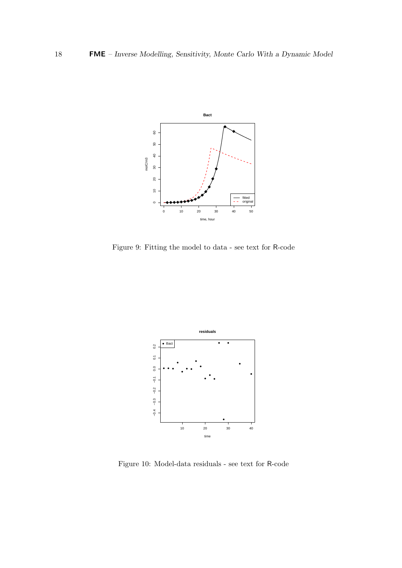

Figure 9: Fitting the model to data - see text for R-code



Figure 10: Model-data residuals - see text for R-code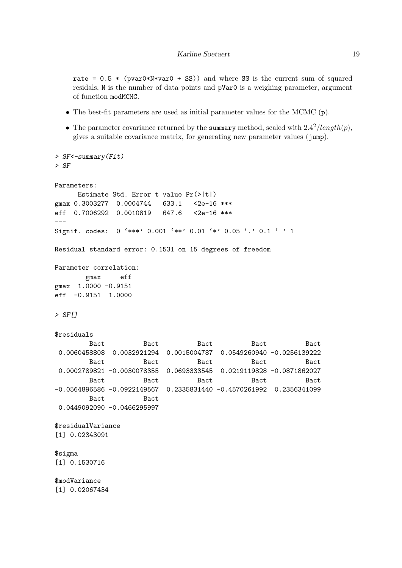rate =  $0.5 *$  (pvar0\*N\*var0 + SS)) and where SS is the current sum of squared residals, N is the number of data points and pVar0 is a weighing parameter, argument of function modMCMC.

- The best-fit parameters are used as initial parameter values for the MCMC (p).
- The parameter covariance returned by the summary method, scaled with  $2.4^2/length(p)$ , gives a suitable covariance matrix, for generating new parameter values (jump).

```
> SF<-summary(Fit)
> SF
Parameters:
     Estimate Std. Error t value Pr(>|t|)
gmax 0.3003277 0.0004744 633.1 <2e-16 ***
eff 0.7006292 0.0010819 647.6 <2e-16 ***
---
Signif. codes: 0 '***' 0.001 '**' 0.01 '*' 0.05 '.' 0.1 ' ' 1
Residual standard error: 0.1531 on 15 degrees of freedom
Parameter correlation:
       gmax eff
gmax 1.0000 -0.9151
eff -0.9151 1.0000
> SF[]
$residuals
        Bact Bact Bact Bact Bact Bact
0.0060458808 0.0032921294 0.0015004787 0.0549260940 -0.0256139222
        Bact Bact Bact Bact Bact Bact
0.0002789821 -0.0030078355 0.0693333545 0.0219119828 -0.0871862027
        Bact Bact Bact Bact Bact Bact
-0.0564896586 -0.0922149567 0.2335831440 -0.4570261992 0.2356341099
       Bact Bact
0.0449092090 -0.0466295997
$residualVariance
[1] 0.02343091
$sigma
[1] 0.1530716
$modVariance
[1] 0.02067434
```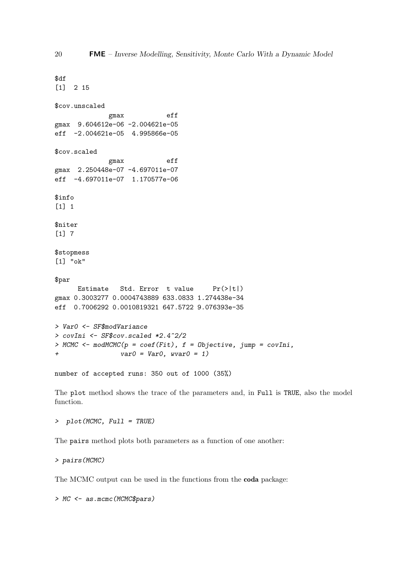```
$df
[1] 2 15
$cov.unscaled
             gmax eff
gmax 9.604612e-06 -2.004621e-05
eff -2.004621e-05 4.995866e-05
$cov.scaled
             gmax eff
gmax 2.250448e-07 -4.697011e-07
eff -4.697011e-07 1.170577e-06
$info
[1] 1
$niter
[1] 7
$stopmess
[1] "ok"
$par
     Estimate Std. Error t value Pr(>|t|)
gmax 0.3003277 0.0004743889 633.0833 1.274438e-34
eff 0.7006292 0.0010819321 647.5722 9.076393e-35
> Var0 <- SF$modVariance
> covIni <- SF$cov.scaled *2.4^2/2
> MCMC <- modMCMC(p = coef(Fit), f = Objective, jump = covIni,
\frac{1}{1} var0 = Var0, wvar0 = 1)
number of accepted runs: 350 out of 1000 (35%)
```
The plot method shows the trace of the parameters and, in Full is TRUE, also the model function.

> plot(MCMC, Full = TRUE)

The pairs method plots both parameters as a function of one another:

> pairs(MCMC)

The MCMC output can be used in the functions from the coda package:

> MC <- as.mcmc(MCMC\$pars)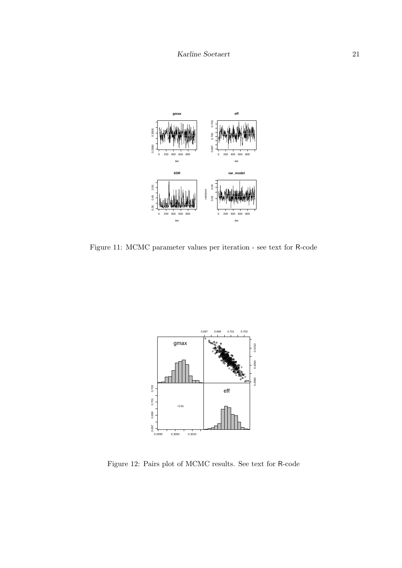

Figure 11: MCMC parameter values per iteration - see text for R-code



Figure 12: Pairs plot of MCMC results. See text for R-code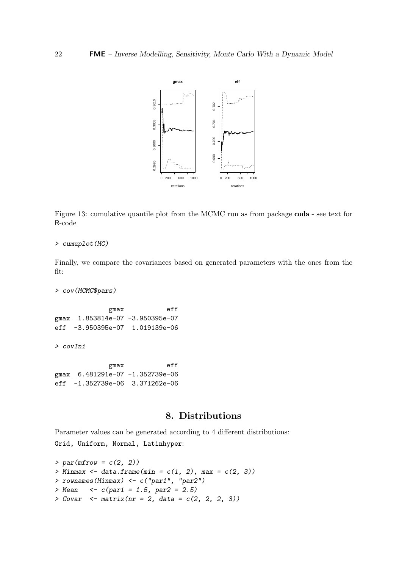

Figure 13: cumulative quantile plot from the MCMC run as from package coda - see text for R-code

#### > cumuplot(MC)

Finally, we compare the covariances based on generated parameters with the ones from the fit:

> cov(MCMC\$pars)

gmax eff gmax 1.853814e-07 -3.950395e-07 eff -3.950395e-07 1.019139e-06

> covIni

gmax eff gmax 6.481291e-07 -1.352739e-06 eff -1.352739e-06 3.371262e-06

# 8. Distributions

Parameter values can be generated according to 4 different distributions: Grid, Uniform, Normal, Latinhyper:

```
> par(mfrow = c(2, 2))> Minmax \leftarrow data.frame(min = c(1, 2), max = c(2, 3))
> rownames(Minmax) <- c("par1", "par2")
> Mean <- c(par1 = 1.5, par2 = 2.5)
> Covar \le matrix(nr = 2, data = c(2, 2, 2, 3))
```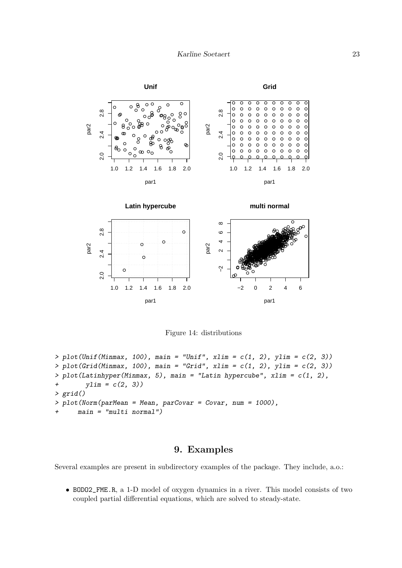

Figure 14: distributions

```
> plot(Unif(Minmax, 100), main = "Unif", xlim = c(1, 2), ylim = c(2, 3))
> plot(Grid(Minmax, 100), main = "Grid", xlim = c(1, 2), ylim = c(2, 3))> plot(Latinhyper(Minmax, 5), main = "Latin hypercube", xlim = c(1, 2),+ ylim = c(2, 3)> grid()
> plot(Norm(parMean = Mean, parCovar = Covar, num = 1000),
     main = "multi normal")
```
# 9. Examples

Several examples are present in subdirectory examples of the package. They include, a.o.:

• BODO2\_FME.R, a 1-D model of oxygen dynamics in a river. This model consists of two coupled partial differential equations, which are solved to steady-state.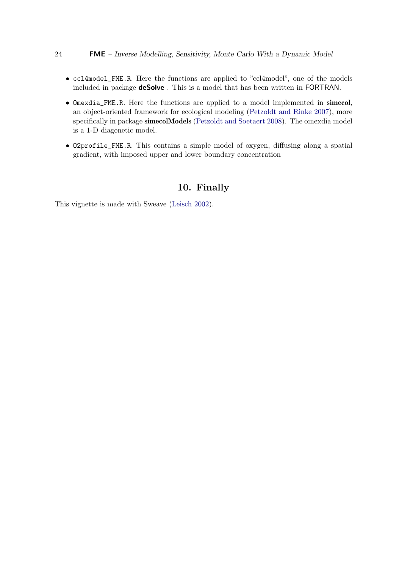#### 24 FME – Inverse Modelling, Sensitivity, Monte Carlo With a Dynamic Model

- ccl4model\_FME.R. Here the functions are applied to "ccl4model", one of the models included in package deSolve . This is a model that has been written in FORTRAN.
- Omexdia\_FME.R. Here the functions are applied to a model implemented in simecol, an object-oriented framework for ecological modeling [\(Petzoldt and Rinke](#page-25-8) [2007\)](#page-25-8), more specifically in package simecolModels [\(Petzoldt and Soetaert](#page-25-9) [2008\)](#page-25-9). The omexdia model is a 1-D diagenetic model.
- O2profile\_FME.R. This contains a simple model of oxygen, diffusing along a spatial gradient, with imposed upper and lower boundary concentration

# 10. Finally

This vignette is made with Sweave [\(Leisch](#page-25-10) [2002\)](#page-25-10).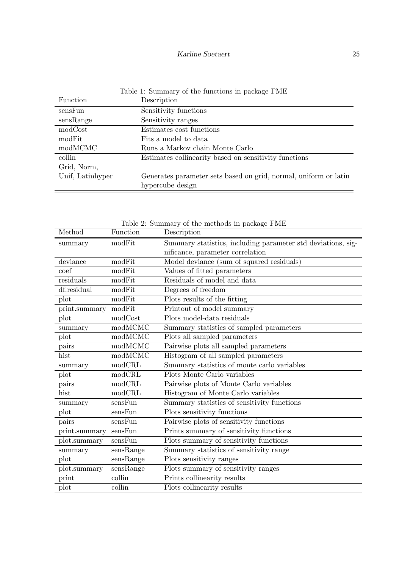| Table 1: Summary of the functions in package FME |
|--------------------------------------------------|
| Dogointion                                       |

| Function         | Description                                                      |
|------------------|------------------------------------------------------------------|
| sensFun          | Sensitivity functions                                            |
| sensRange        | Sensitivity ranges                                               |
| modCost          | Estimates cost functions                                         |
| modFit           | Fits a model to data                                             |
| modMCMC          | Runs a Markov chain Monte Carlo                                  |
| collin           | Estimates collinearity based on sensitivity functions            |
| Grid, Norm,      |                                                                  |
| Unif, Latinhyper | Generates parameter sets based on grid, normal, uniform or latin |
|                  | hypercube design                                                 |

|               |           | Table 2: Summary of the methods in package F ME              |
|---------------|-----------|--------------------------------------------------------------|
| Method        | Function  | Description                                                  |
| summary       | modFit    | Summary statistics, including parameter std deviations, sig- |
|               |           | nificance, parameter correlation                             |
| deviance      | modFit    | Model deviance (sum of squared residuals)                    |
| coef          | modFit    | Values of fitted parameters                                  |
| residuals     | modFit    | Residuals of model and data                                  |
| df.residual   | modFit    | Degrees of freedom                                           |
| plot          | modFit    | Plots results of the fitting                                 |
| print.summary | modFit    | Printout of model summary                                    |
| plot          | modCost   | Plots model-data residuals                                   |
| summary       | modMCMC   | Summary statistics of sampled parameters                     |
| plot          | modMCMC   | Plots all sampled parameters                                 |
| pairs         | modMCMC   | Pairwise plots all sampled parameters                        |
| hist          | modMCMC   | Histogram of all sampled parameters                          |
| summary       | modCRL    | Summary statistics of monte carlo variables                  |
| plot          | modCRL    | Plots Monte Carlo variables                                  |
| pairs         | modCRL    | Pairwise plots of Monte Carlo variables                      |
| hist          | modCRL    | Histogram of Monte Carlo variables                           |
| summary       | sensFun   | Summary statistics of sensitivity functions                  |
| plot          | sensFun   | Plots sensitivity functions                                  |
| pairs         | sensFun   | Pairwise plots of sensitivity functions                      |
| print.summary | sensFun   | Prints summary of sensitivity functions                      |
| plot.summary  | sensFun   | Plots summary of sensitivity functions                       |
| summary       | sensRange | Summary statistics of sensitivity range                      |
| plot          | sensRange | Plots sensitivity ranges                                     |
| plot.summary  | sensRange | Plots summary of sensitivity ranges                          |
| print         | collin    | Prints collinearity results                                  |
| plot          | collin    | Plots collinearity results                                   |

Table 2: Summary of the methods in package FME